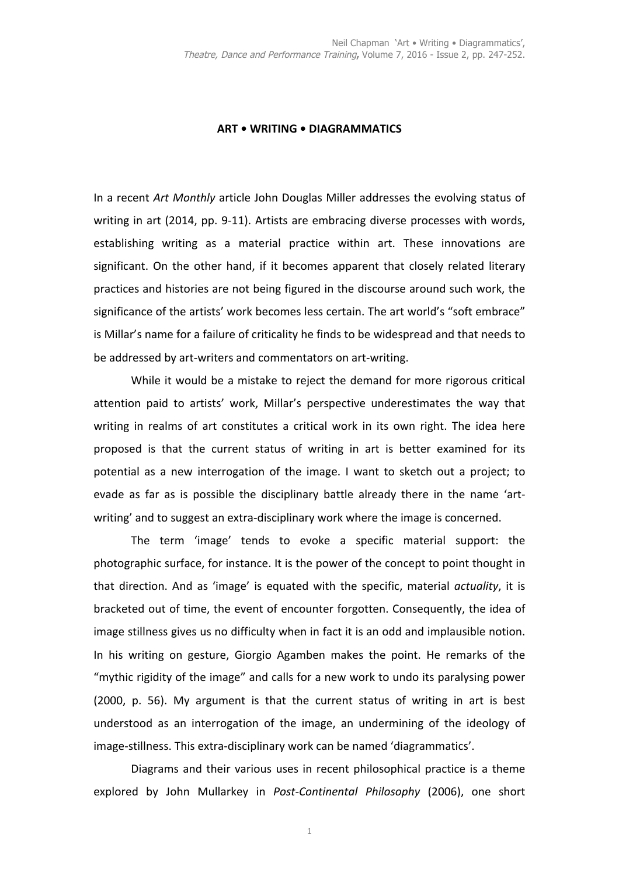## **ART • WRITING • DIAGRAMMATICS**

In a recent *Art Monthly* article John Douglas Miller addresses the evolving status of writing in art (2014, pp. 9-11). Artists are embracing diverse processes with words, establishing writing as a material practice within art. These innovations are significant. On the other hand, if it becomes apparent that closely related literary practices and histories are not being figured in the discourse around such work, the significance of the artists' work becomes less certain. The art world's "soft embrace" is Millar's name for a failure of criticality he finds to be widespread and that needs to be addressed by art-writers and commentators on art-writing.

While it would be a mistake to reject the demand for more rigorous critical attention paid to artists' work, Millar's perspective underestimates the way that writing in realms of art constitutes a critical work in its own right. The idea here proposed is that the current status of writing in art is better examined for its potential as a new interrogation of the image. I want to sketch out a project; to evade as far as is possible the disciplinary battle already there in the name 'artwriting' and to suggest an extra-disciplinary work where the image is concerned.

The term 'image' tends to evoke a specific material support: the photographic surface, for instance. It is the power of the concept to point thought in that direction. And as 'image' is equated with the specific, material *actuality*, it is bracketed out of time, the event of encounter forgotten. Consequently, the idea of image stillness gives us no difficulty when in fact it is an odd and implausible notion. In his writing on gesture, Giorgio Agamben makes the point. He remarks of the "mythic rigidity of the image" and calls for a new work to undo its paralysing power  $(2000, p. 56)$ . My argument is that the current status of writing in art is best understood as an interrogation of the image, an undermining of the ideology of image-stillness. This extra-disciplinary work can be named 'diagrammatics'.

Diagrams and their various uses in recent philosophical practice is a theme explored by John Mullarkey in Post-Continental Philosophy (2006), one short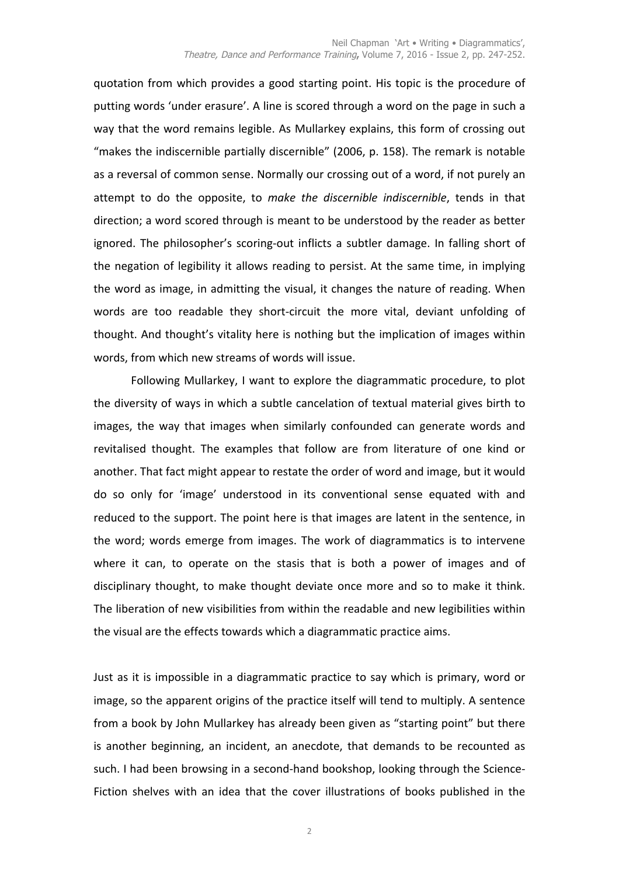quotation from which provides a good starting point. His topic is the procedure of putting words 'under erasure'. A line is scored through a word on the page in such a way that the word remains legible. As Mullarkey explains, this form of crossing out "makes the indiscernible partially discernible" (2006, p. 158). The remark is notable as a reversal of common sense. Normally our crossing out of a word, if not purely an attempt to do the opposite, to make the discernible indiscernible, tends in that direction; a word scored through is meant to be understood by the reader as better ignored. The philosopher's scoring-out inflicts a subtler damage. In falling short of the negation of legibility it allows reading to persist. At the same time, in implying the word as image, in admitting the visual, it changes the nature of reading. When words are too readable they short-circuit the more vital, deviant unfolding of thought. And thought's vitality here is nothing but the implication of images within words, from which new streams of words will issue.

Following Mullarkey, I want to explore the diagrammatic procedure, to plot the diversity of ways in which a subtle cancelation of textual material gives birth to images, the way that images when similarly confounded can generate words and revitalised thought. The examples that follow are from literature of one kind or another. That fact might appear to restate the order of word and image, but it would do so only for 'image' understood in its conventional sense equated with and reduced to the support. The point here is that images are latent in the sentence, in the word; words emerge from images. The work of diagrammatics is to intervene where it can, to operate on the stasis that is both a power of images and of disciplinary thought, to make thought deviate once more and so to make it think. The liberation of new visibilities from within the readable and new legibilities within the visual are the effects towards which a diagrammatic practice aims.

Just as it is impossible in a diagrammatic practice to say which is primary, word or image, so the apparent origins of the practice itself will tend to multiply. A sentence from a book by John Mullarkey has already been given as "starting point" but there is another beginning, an incident, an anecdote, that demands to be recounted as such. I had been browsing in a second-hand bookshop, looking through the Science-Fiction shelves with an idea that the cover illustrations of books published in the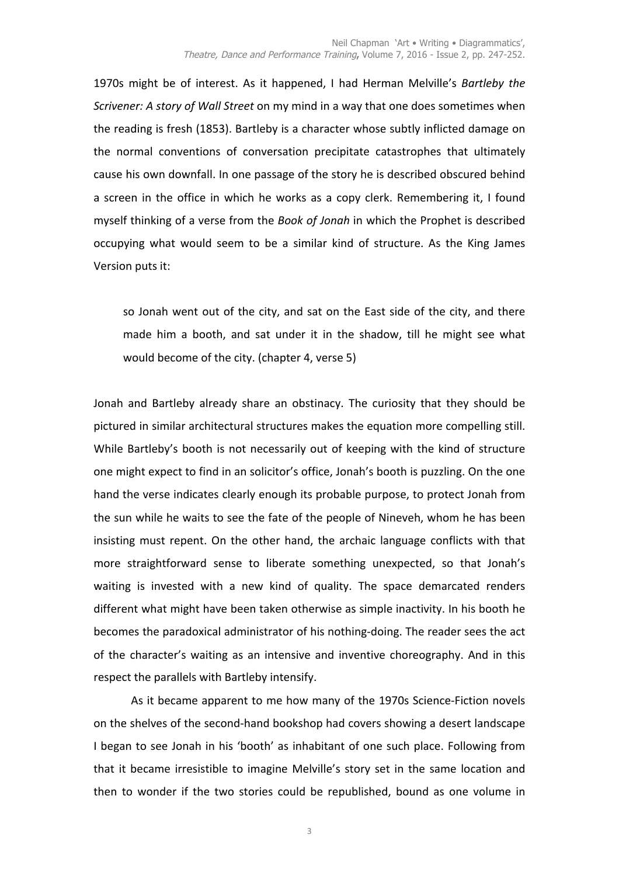1970s might be of interest. As it happened, I had Herman Melville's *Bartleby the Scrivener:* A story of Wall Street on my mind in a way that one does sometimes when the reading is fresh (1853). Bartleby is a character whose subtly inflicted damage on the normal conventions of conversation precipitate catastrophes that ultimately cause his own downfall. In one passage of the story he is described obscured behind a screen in the office in which he works as a copy clerk. Remembering it, I found myself thinking of a verse from the *Book of Jonah* in which the Prophet is described occupying what would seem to be a similar kind of structure. As the King James Version puts it:

so Jonah went out of the city, and sat on the East side of the city, and there made him a booth, and sat under it in the shadow, till he might see what would become of the city. (chapter 4, verse 5)

Jonah and Bartleby already share an obstinacy. The curiosity that they should be pictured in similar architectural structures makes the equation more compelling still. While Bartleby's booth is not necessarily out of keeping with the kind of structure one might expect to find in an solicitor's office, Jonah's booth is puzzling. On the one hand the verse indicates clearly enough its probable purpose, to protect Jonah from the sun while he waits to see the fate of the people of Nineveh, whom he has been insisting must repent. On the other hand, the archaic language conflicts with that more straightforward sense to liberate something unexpected, so that Jonah's waiting is invested with a new kind of quality. The space demarcated renders different what might have been taken otherwise as simple inactivity. In his booth he becomes the paradoxical administrator of his nothing-doing. The reader sees the act of the character's waiting as an intensive and inventive choreography. And in this respect the parallels with Bartleby intensify.

As it became apparent to me how many of the 1970s Science-Fiction novels on the shelves of the second-hand bookshop had covers showing a desert landscape I began to see Jonah in his 'booth' as inhabitant of one such place. Following from that it became irresistible to imagine Melville's story set in the same location and then to wonder if the two stories could be republished, bound as one volume in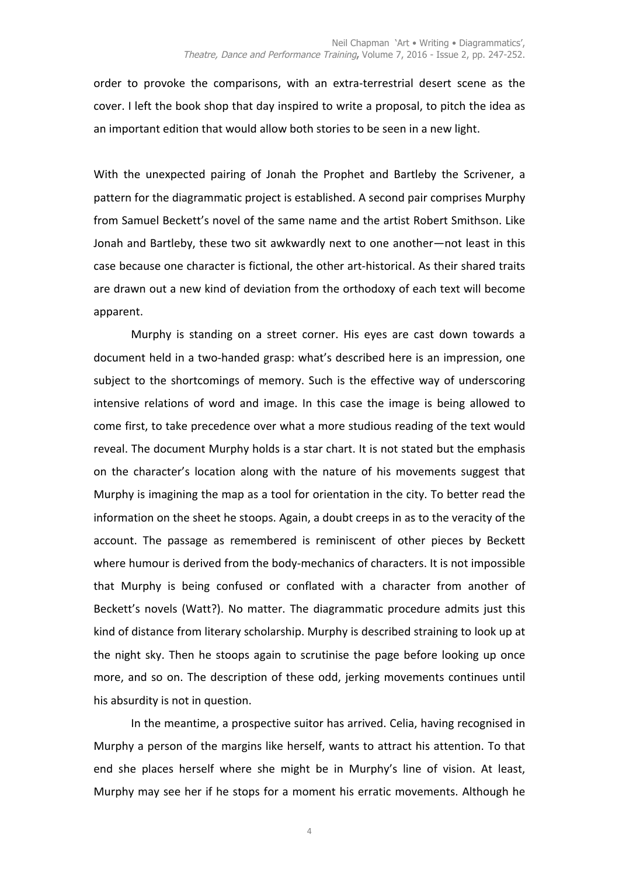order to provoke the comparisons, with an extra-terrestrial desert scene as the cover. I left the book shop that day inspired to write a proposal, to pitch the idea as an important edition that would allow both stories to be seen in a new light.

With the unexpected pairing of Jonah the Prophet and Bartleby the Scrivener, a pattern for the diagrammatic project is established. A second pair comprises Murphy from Samuel Beckett's novel of the same name and the artist Robert Smithson. Like Jonah and Bartleby, these two sit awkwardly next to one another—not least in this case because one character is fictional, the other art-historical. As their shared traits are drawn out a new kind of deviation from the orthodoxy of each text will become apparent.

Murphy is standing on a street corner. His eyes are cast down towards a document held in a two-handed grasp: what's described here is an impression, one subject to the shortcomings of memory. Such is the effective way of underscoring intensive relations of word and image. In this case the image is being allowed to come first, to take precedence over what a more studious reading of the text would reveal. The document Murphy holds is a star chart. It is not stated but the emphasis on the character's location along with the nature of his movements suggest that Murphy is imagining the map as a tool for orientation in the city. To better read the information on the sheet he stoops. Again, a doubt creeps in as to the veracity of the account. The passage as remembered is reminiscent of other pieces by Beckett where humour is derived from the body-mechanics of characters. It is not impossible that Murphy is being confused or conflated with a character from another of Beckett's novels (Watt?). No matter. The diagrammatic procedure admits just this kind of distance from literary scholarship. Murphy is described straining to look up at the night sky. Then he stoops again to scrutinise the page before looking up once more, and so on. The description of these odd, jerking movements continues until his absurdity is not in question.

In the meantime, a prospective suitor has arrived. Celia, having recognised in Murphy a person of the margins like herself, wants to attract his attention. To that end she places herself where she might be in Murphy's line of vision. At least, Murphy may see her if he stops for a moment his erratic movements. Although he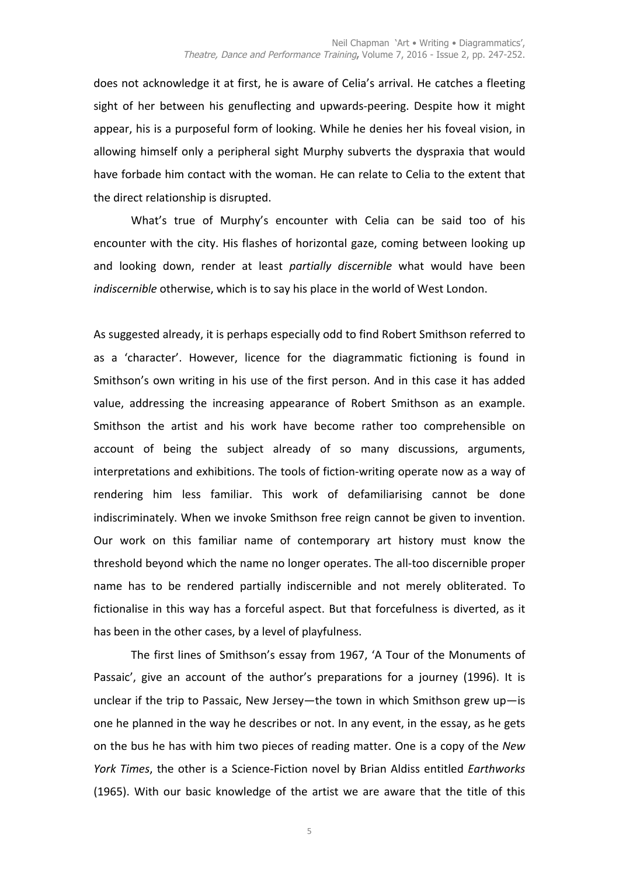does not acknowledge it at first, he is aware of Celia's arrival. He catches a fleeting sight of her between his genuflecting and upwards-peering. Despite how it might appear, his is a purposeful form of looking. While he denies her his foveal vision, in allowing himself only a peripheral sight Murphy subverts the dyspraxia that would have forbade him contact with the woman. He can relate to Celia to the extent that the direct relationship is disrupted.

What's true of Murphy's encounter with Celia can be said too of his encounter with the city. His flashes of horizontal gaze, coming between looking up and looking down, render at least *partially discernible* what would have been *indiscernible* otherwise, which is to say his place in the world of West London.

As suggested already, it is perhaps especially odd to find Robert Smithson referred to as a 'character'. However, licence for the diagrammatic fictioning is found in Smithson's own writing in his use of the first person. And in this case it has added value, addressing the increasing appearance of Robert Smithson as an example. Smithson the artist and his work have become rather too comprehensible on account of being the subject already of so many discussions, arguments, interpretations and exhibitions. The tools of fiction-writing operate now as a way of rendering him less familiar. This work of defamiliarising cannot be done indiscriminately. When we invoke Smithson free reign cannot be given to invention. Our work on this familiar name of contemporary art history must know the threshold beyond which the name no longer operates. The all-too discernible proper name has to be rendered partially indiscernible and not merely obliterated. To fictionalise in this way has a forceful aspect. But that forcefulness is diverted, as it has been in the other cases, by a level of playfulness.

The first lines of Smithson's essay from 1967, 'A Tour of the Monuments of Passaic', give an account of the author's preparations for a journey (1996). It is unclear if the trip to Passaic, New Jersey—the town in which Smithson grew up—is one he planned in the way he describes or not. In any event, in the essay, as he gets on the bus he has with him two pieces of reading matter. One is a copy of the *New York Times*, the other is a Science-Fiction novel by Brian Aldiss entitled *Earthworks* (1965). With our basic knowledge of the artist we are aware that the title of this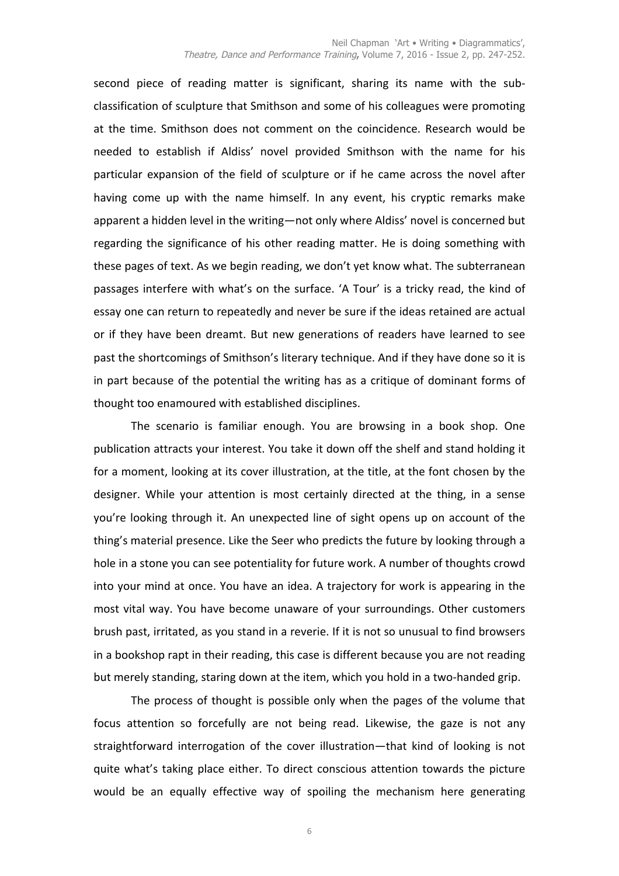second piece of reading matter is significant, sharing its name with the subclassification of sculpture that Smithson and some of his colleagues were promoting at the time. Smithson does not comment on the coincidence. Research would be needed to establish if Aldiss' novel provided Smithson with the name for his particular expansion of the field of sculpture or if he came across the novel after having come up with the name himself. In any event, his cryptic remarks make apparent a hidden level in the writing—not only where Aldiss' novel is concerned but regarding the significance of his other reading matter. He is doing something with these pages of text. As we begin reading, we don't yet know what. The subterranean passages interfere with what's on the surface. 'A Tour' is a tricky read, the kind of essay one can return to repeatedly and never be sure if the ideas retained are actual or if they have been dreamt. But new generations of readers have learned to see past the shortcomings of Smithson's literary technique. And if they have done so it is in part because of the potential the writing has as a critique of dominant forms of thought too enamoured with established disciplines.

The scenario is familiar enough. You are browsing in a book shop. One publication attracts your interest. You take it down off the shelf and stand holding it for a moment, looking at its cover illustration, at the title, at the font chosen by the designer. While your attention is most certainly directed at the thing, in a sense you're looking through it. An unexpected line of sight opens up on account of the thing's material presence. Like the Seer who predicts the future by looking through a hole in a stone you can see potentiality for future work. A number of thoughts crowd into your mind at once. You have an idea. A trajectory for work is appearing in the most vital way. You have become unaware of your surroundings. Other customers brush past, irritated, as you stand in a reverie. If it is not so unusual to find browsers in a bookshop rapt in their reading, this case is different because you are not reading but merely standing, staring down at the item, which you hold in a two-handed grip.

The process of thought is possible only when the pages of the volume that focus attention so forcefully are not being read. Likewise, the gaze is not any straightforward interrogation of the cover illustration—that kind of looking is not quite what's taking place either. To direct conscious attention towards the picture would be an equally effective way of spoiling the mechanism here generating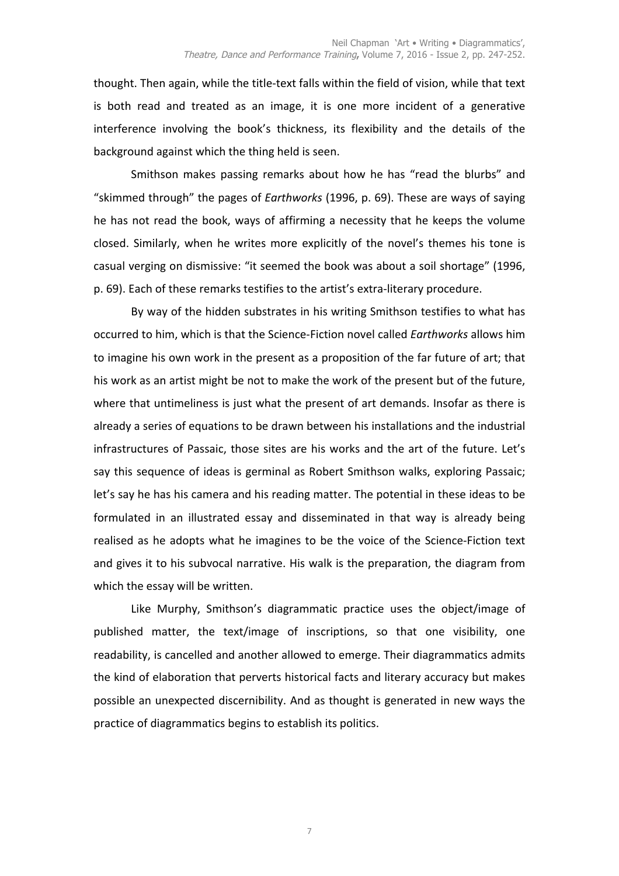thought. Then again, while the title-text falls within the field of vision, while that text is both read and treated as an image, it is one more incident of a generative interference involving the book's thickness, its flexibility and the details of the background against which the thing held is seen.

Smithson makes passing remarks about how he has "read the blurbs" and "skimmed through" the pages of *Earthworks* (1996, p. 69). These are ways of saying he has not read the book, ways of affirming a necessity that he keeps the volume closed. Similarly, when he writes more explicitly of the novel's themes his tone is casual verging on dismissive: "it seemed the book was about a soil shortage" (1996, p. 69). Each of these remarks testifies to the artist's extra-literary procedure.

By way of the hidden substrates in his writing Smithson testifies to what has occurred to him, which is that the Science-Fiction novel called *Earthworks* allows him to imagine his own work in the present as a proposition of the far future of art; that his work as an artist might be not to make the work of the present but of the future, where that untimeliness is just what the present of art demands. Insofar as there is already a series of equations to be drawn between his installations and the industrial infrastructures of Passaic, those sites are his works and the art of the future. Let's say this sequence of ideas is germinal as Robert Smithson walks, exploring Passaic; let's say he has his camera and his reading matter. The potential in these ideas to be formulated in an illustrated essay and disseminated in that way is already being realised as he adopts what he imagines to be the voice of the Science-Fiction text and gives it to his subvocal narrative. His walk is the preparation, the diagram from which the essay will be written.

Like Murphy, Smithson's diagrammatic practice uses the object/image of published matter, the text/image of inscriptions, so that one visibility, one readability, is cancelled and another allowed to emerge. Their diagrammatics admits the kind of elaboration that perverts historical facts and literary accuracy but makes possible an unexpected discernibility. And as thought is generated in new ways the practice of diagrammatics begins to establish its politics.